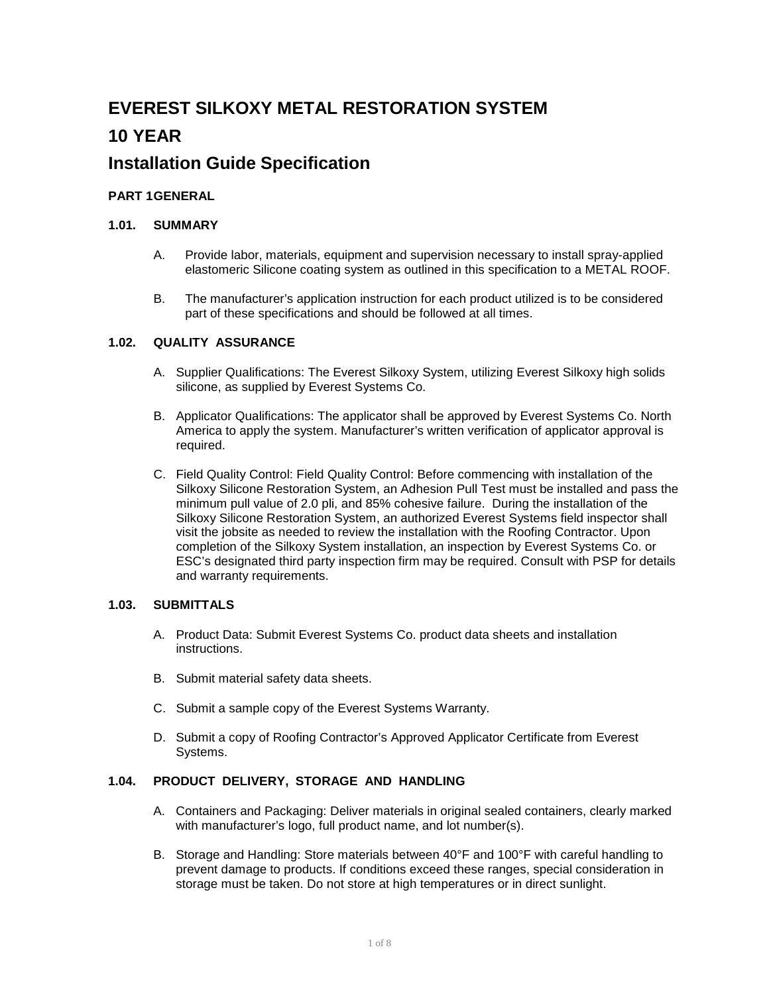# **EVEREST SILKOXY METAL RESTORATION SYSTEM 10 YEAR**

# **Installation Guide Specification**

# **PART 1GENERAL**

# **1.01. SUMMARY**

- A. Provide labor, materials, equipment and supervision necessary to install spray-applied elastomeric Silicone coating system as outlined in this specification to a METAL ROOF.
- B. The manufacturer's application instruction for each product utilized is to be considered part of these specifications and should be followed at all times.

# **1.02. QUALITY ASSURANCE**

- A. Supplier Qualifications: The Everest Silkoxy System, utilizing Everest Silkoxy high solids silicone, as supplied by Everest Systems Co.
- B. Applicator Qualifications: The applicator shall be approved by Everest Systems Co. North America to apply the system. Manufacturer's written verification of applicator approval is required.
- C. Field Quality Control: Field Quality Control: Before commencing with installation of the Silkoxy Silicone Restoration System, an Adhesion Pull Test must be installed and pass the minimum pull value of 2.0 pli, and 85% cohesive failure. During the installation of the Silkoxy Silicone Restoration System, an authorized Everest Systems field inspector shall visit the jobsite as needed to review the installation with the Roofing Contractor. Upon completion of the Silkoxy System installation, an inspection by Everest Systems Co. or ESC's designated third party inspection firm may be required. Consult with PSP for details and warranty requirements.

#### **1.03. SUBMITTALS**

- A. Product Data: Submit Everest Systems Co. product data sheets and installation instructions.
- B. Submit material safety data sheets.
- C. Submit a sample copy of the Everest Systems Warranty.
- D. Submit a copy of Roofing Contractor's Approved Applicator Certificate from Everest Systems.

# **1.04. PRODUCT DELIVERY, STORAGE AND HANDLING**

- A. Containers and Packaging: Deliver materials in original sealed containers, clearly marked with manufacturer's logo, full product name, and lot number(s).
- B. Storage and Handling: Store materials between 40°F and 100°F with careful handling to prevent damage to products. If conditions exceed these ranges, special consideration in storage must be taken. Do not store at high temperatures or in direct sunlight.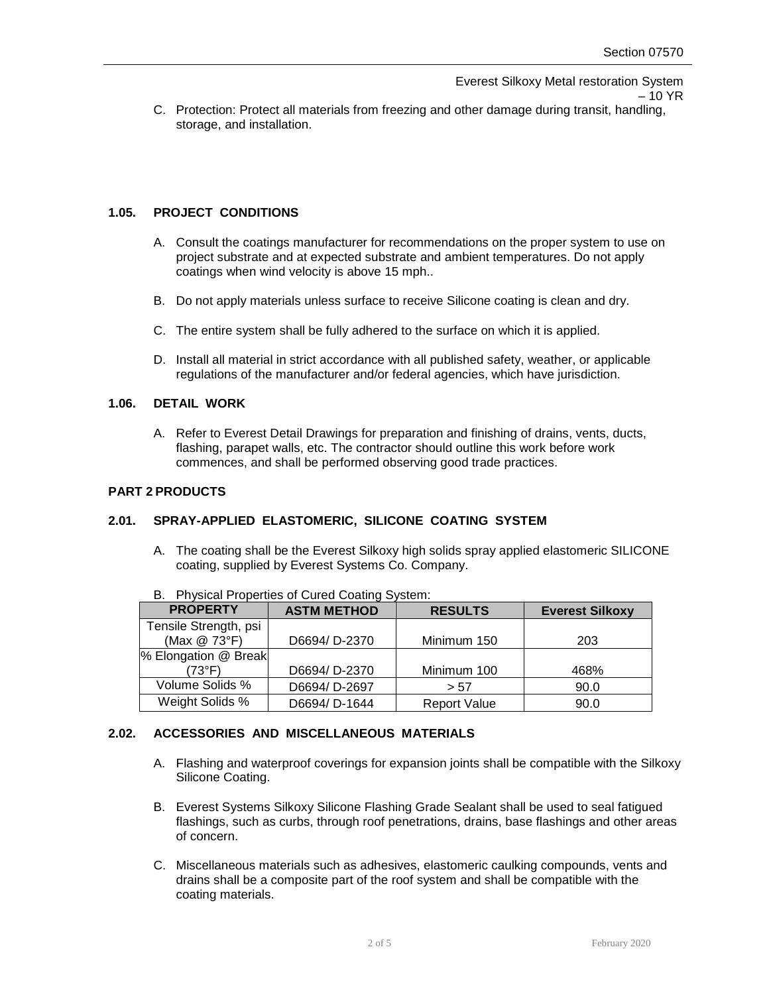C. Protection: Protect all materials from freezing and other damage during transit, handling, storage, and installation.

# **1.05. PROJECT CONDITIONS**

- A. Consult the coatings manufacturer for recommendations on the proper system to use on project substrate and at expected substrate and ambient temperatures. Do not apply coatings when wind velocity is above 15 mph..
- B. Do not apply materials unless surface to receive Silicone coating is clean and dry.
- C. The entire system shall be fully adhered to the surface on which it is applied.
- D. Install all material in strict accordance with all published safety, weather, or applicable regulations of the manufacturer and/or federal agencies, which have jurisdiction.

# **1.06. DETAIL WORK**

A. Refer to Everest Detail Drawings for preparation and finishing of drains, vents, ducts, flashing, parapet walls, etc. The contractor should outline this work before work commences, and shall be performed observing good trade practices.

# **PART 2 PRODUCTS**

# **2.01. SPRAY-APPLIED ELASTOMERIC, SILICONE COATING SYSTEM**

A. The coating shall be the Everest Silkoxy high solids spray applied elastomeric SILICONE coating, supplied by Everest Systems Co. Company.

| <b>PROPERTY</b>       | <b>ASTM METHOD</b> | <b>RESULTS</b>      | <b>Everest Silkoxy</b> |
|-----------------------|--------------------|---------------------|------------------------|
| Tensile Strength, psi |                    |                     |                        |
| (Max @ 73°F)          | D6694/D-2370       | Minimum 150         | 203                    |
| % Elongation @ Break  |                    |                     |                        |
| '73°F)                | D6694/D-2370       | Minimum 100         | 468%                   |
| Volume Solids %       | D6694/D-2697       | > 57                | 90.0                   |
| Weight Solids %       | D6694/D-1644       | <b>Report Value</b> | 90.0                   |

B. Physical Properties of Cured Coating System:

# **2.02. ACCESSORIES AND MISCELLANEOUS MATERIALS**

- A. Flashing and waterproof coverings for expansion joints shall be compatible with the Silkoxy Silicone Coating.
- B. Everest Systems Silkoxy Silicone Flashing Grade Sealant shall be used to seal fatigued flashings, such as curbs, through roof penetrations, drains, base flashings and other areas of concern.
- C. Miscellaneous materials such as adhesives, elastomeric caulking compounds, vents and drains shall be a composite part of the roof system and shall be compatible with the coating materials.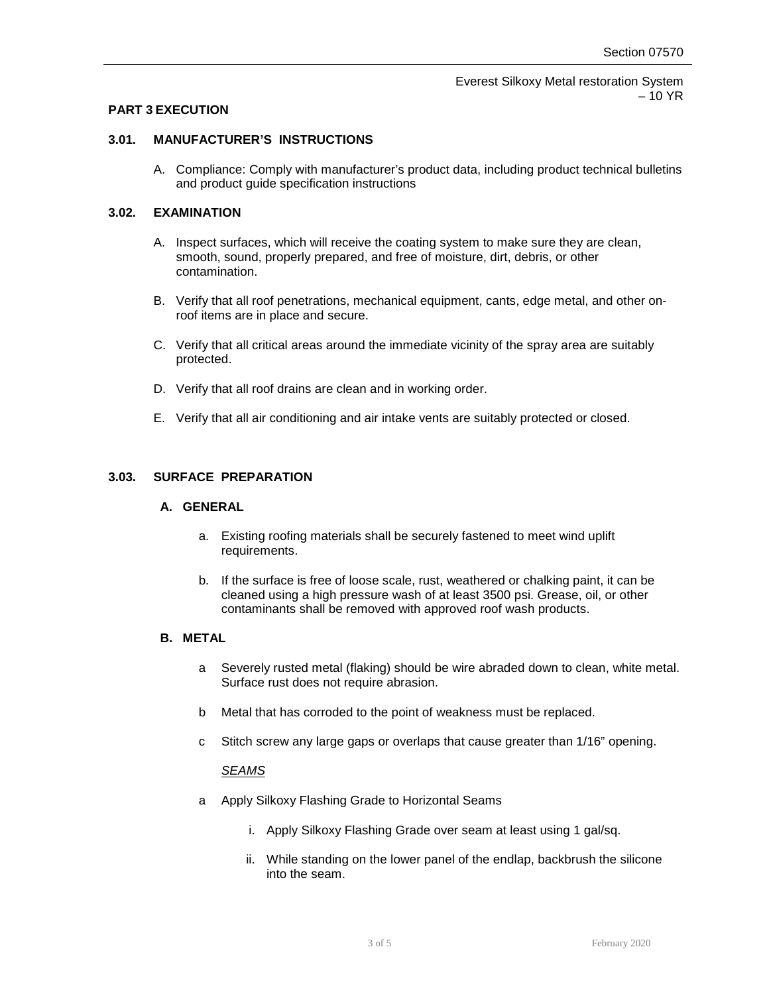## **PART 3 EXECUTION**

## **3.01. MANUFACTURER'S INSTRUCTIONS**

A. Compliance: Comply with manufacturer's product data, including product technical bulletins and product guide specification instructions

# **3.02. EXAMINATION**

- A. Inspect surfaces, which will receive the coating system to make sure they are clean, smooth, sound, properly prepared, and free of moisture, dirt, debris, or other contamination.
- B. Verify that all roof penetrations, mechanical equipment, cants, edge metal, and other onroof items are in place and secure.
- C. Verify that all critical areas around the immediate vicinity of the spray area are suitably protected.
- D. Verify that all roof drains are clean and in working order.
- E. Verify that all air conditioning and air intake vents are suitably protected or closed.

# **3.03. SURFACE PREPARATION**

#### **A. GENERAL**

- a. Existing roofing materials shall be securely fastened to meet wind uplift requirements.
- b. If the surface is free of loose scale, rust, weathered or chalking paint, it can be cleaned using a high pressure wash of at least 3500 psi. Grease, oil, or other contaminants shall be removed with approved roof wash products.

## **B. METAL**

- a Severely rusted metal (flaking) should be wire abraded down to clean, white metal. Surface rust does not require abrasion.
- b Metal that has corroded to the point of weakness must be replaced.
- c Stitch screw any large gaps or overlaps that cause greater than 1/16" opening.

#### *SEAMS*

- a Apply Silkoxy Flashing Grade to Horizontal Seams
	- i. Apply Silkoxy Flashing Grade over seam at least using 1 gal/sq.
	- ii. While standing on the lower panel of the endlap, backbrush the silicone into the seam.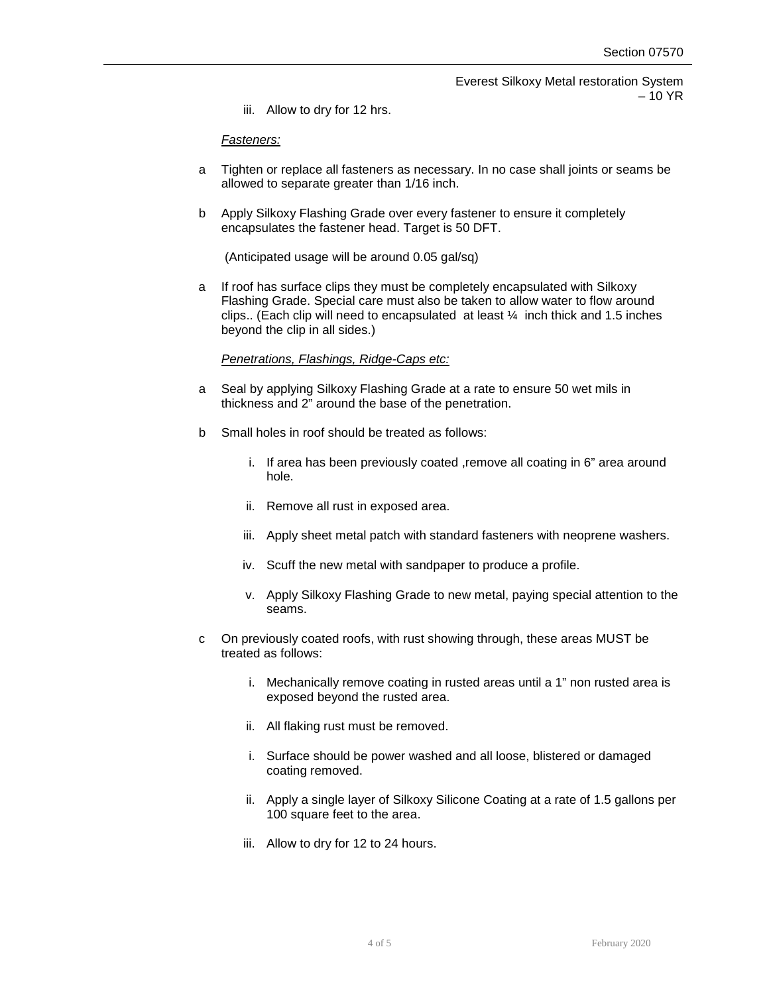iii. Allow to dry for 12 hrs.

#### *Fasteners:*

- a Tighten or replace all fasteners as necessary. In no case shall joints or seams be allowed to separate greater than 1/16 inch.
- b Apply Silkoxy Flashing Grade over every fastener to ensure it completely encapsulates the fastener head. Target is 50 DFT.

(Anticipated usage will be around 0.05 gal/sq)

a If roof has surface clips they must be completely encapsulated with Silkoxy Flashing Grade. Special care must also be taken to allow water to flow around clips.. (Each clip will need to encapsulated at least  $\frac{1}{4}$  inch thick and 1.5 inches beyond the clip in all sides.)

# *Penetrations, Flashings, Ridge-Caps etc:*

- a Seal by applying Silkoxy Flashing Grade at a rate to ensure 50 wet mils in thickness and 2" around the base of the penetration.
- b Small holes in roof should be treated as follows:
	- i. If area has been previously coated , remove all coating in 6" area around hole.
	- ii. Remove all rust in exposed area.
	- iii. Apply sheet metal patch with standard fasteners with neoprene washers.
	- iv. Scuff the new metal with sandpaper to produce a profile.
	- v. Apply Silkoxy Flashing Grade to new metal, paying special attention to the seams.
- c On previously coated roofs, with rust showing through, these areas MUST be treated as follows:
	- i. Mechanically remove coating in rusted areas until a 1" non rusted area is exposed beyond the rusted area.
	- ii. All flaking rust must be removed.
	- i. Surface should be power washed and all loose, blistered or damaged coating removed.
	- ii. Apply a single layer of Silkoxy Silicone Coating at a rate of 1.5 gallons per 100 square feet to the area.
	- iii. Allow to dry for 12 to 24 hours.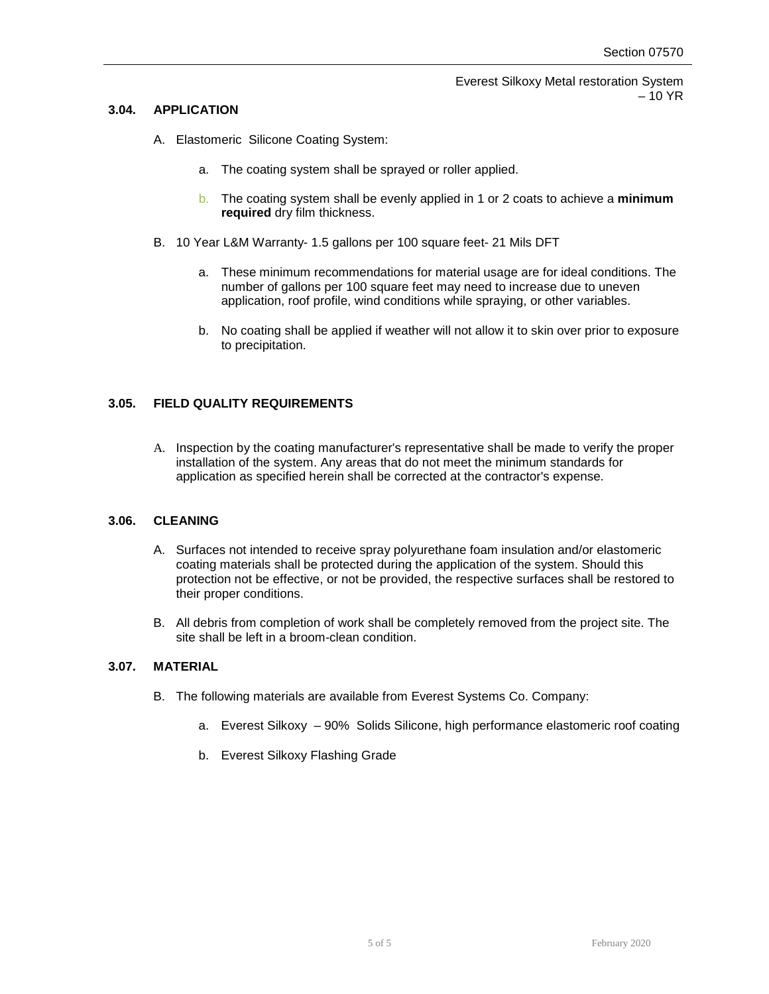## **3.04. APPLICATION**

- A. Elastomeric Silicone Coating System:
	- a. The coating system shall be sprayed or roller applied.
	- b. The coating system shall be evenly applied in 1 or 2 coats to achieve a **minimum required** dry film thickness.
- B. 10 Year L&M Warranty- 1.5 gallons per 100 square feet- 21 Mils DFT
	- a. These minimum recommendations for material usage are for ideal conditions. The number of gallons per 100 square feet may need to increase due to uneven application, roof profile, wind conditions while spraying, or other variables.
	- b. No coating shall be applied if weather will not allow it to skin over prior to exposure to precipitation.

# **3.05. FIELD QUALITY REQUIREMENTS**

A. Inspection by the coating manufacturer's representative shall be made to verify the proper installation of the system. Any areas that do not meet the minimum standards for application as specified herein shall be corrected at the contractor's expense.

#### **3.06. CLEANING**

- A. Surfaces not intended to receive spray polyurethane foam insulation and/or elastomeric coating materials shall be protected during the application of the system. Should this protection not be effective, or not be provided, the respective surfaces shall be restored to their proper conditions.
- B. All debris from completion of work shall be completely removed from the project site. The site shall be left in a broom-clean condition.

#### **3.07. MATERIAL**

- B. The following materials are available from Everest Systems Co. Company:
	- a. Everest Silkoxy 90% Solids Silicone, high performance elastomeric roof coating
	- b. Everest Silkoxy Flashing Grade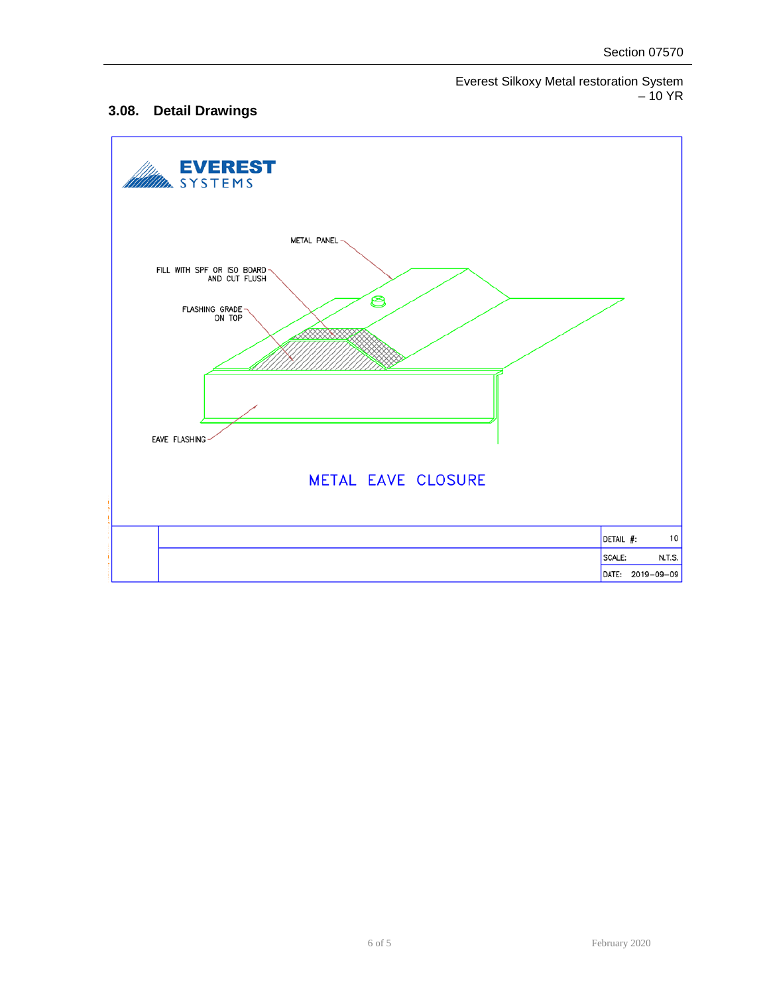# **3.08. Detail Drawings**

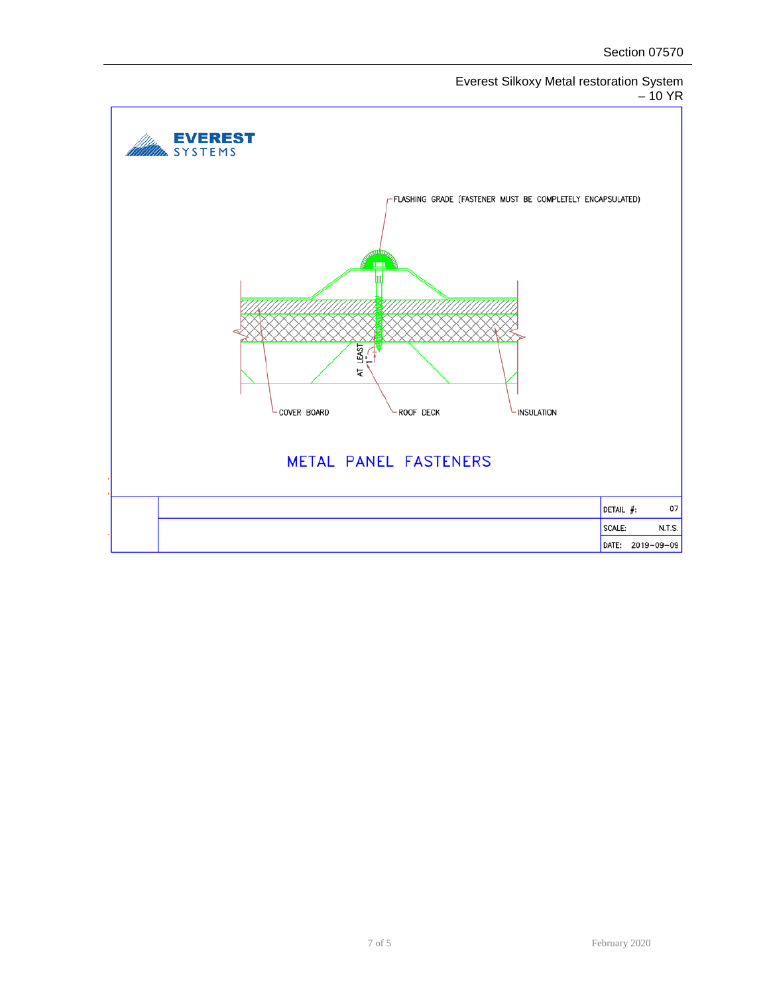

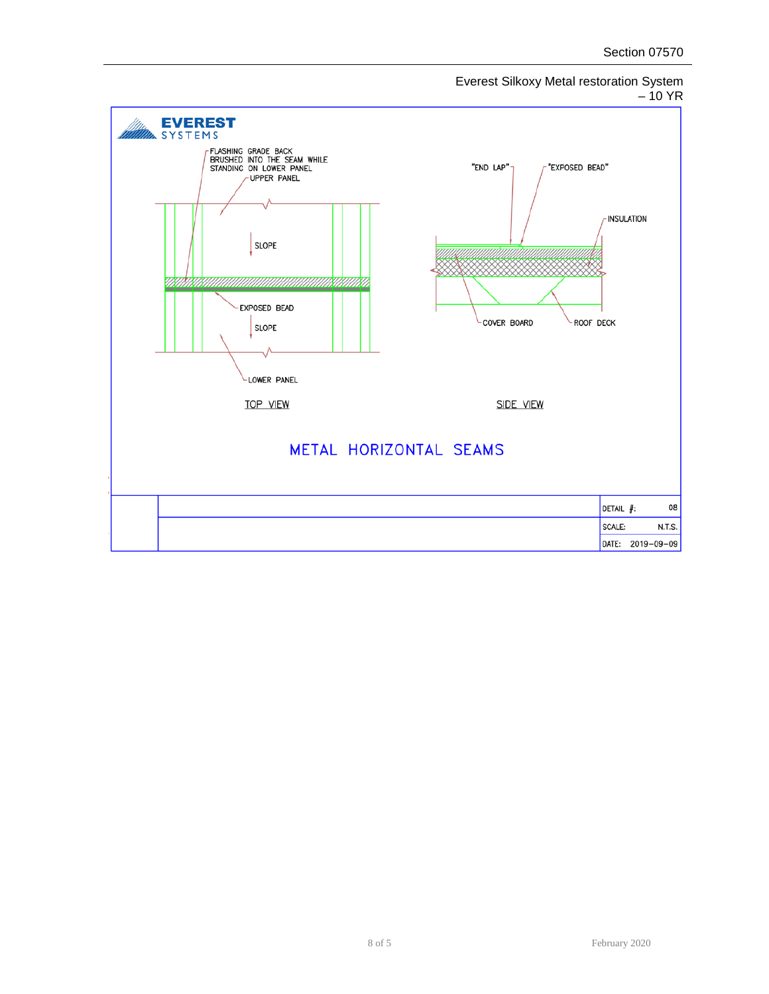

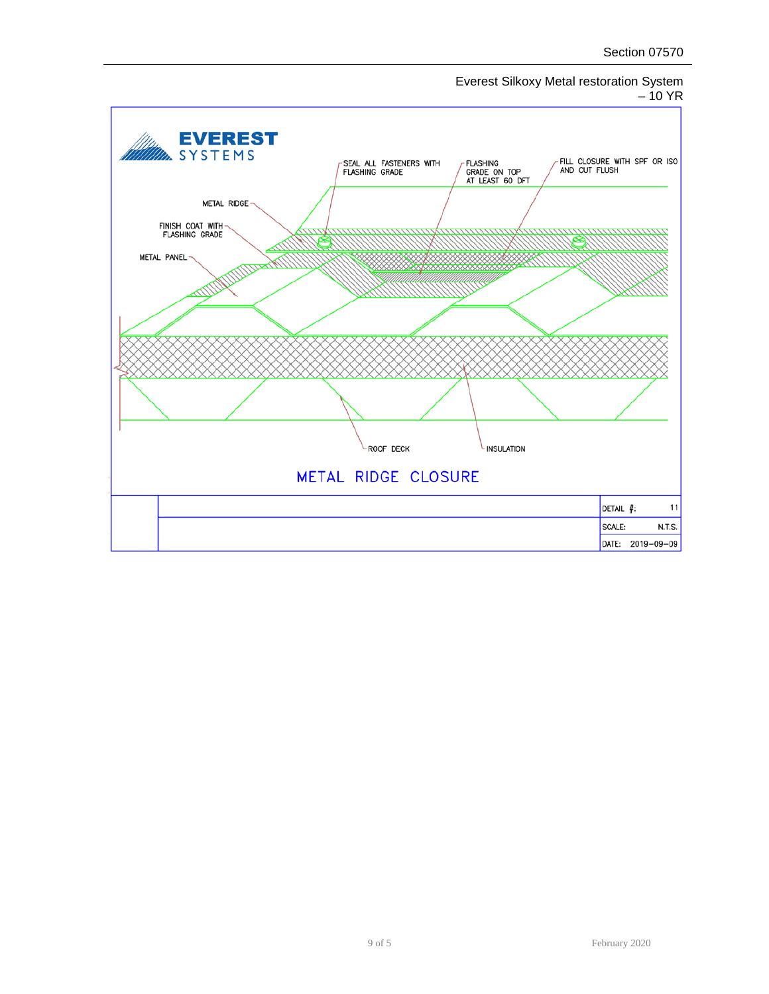